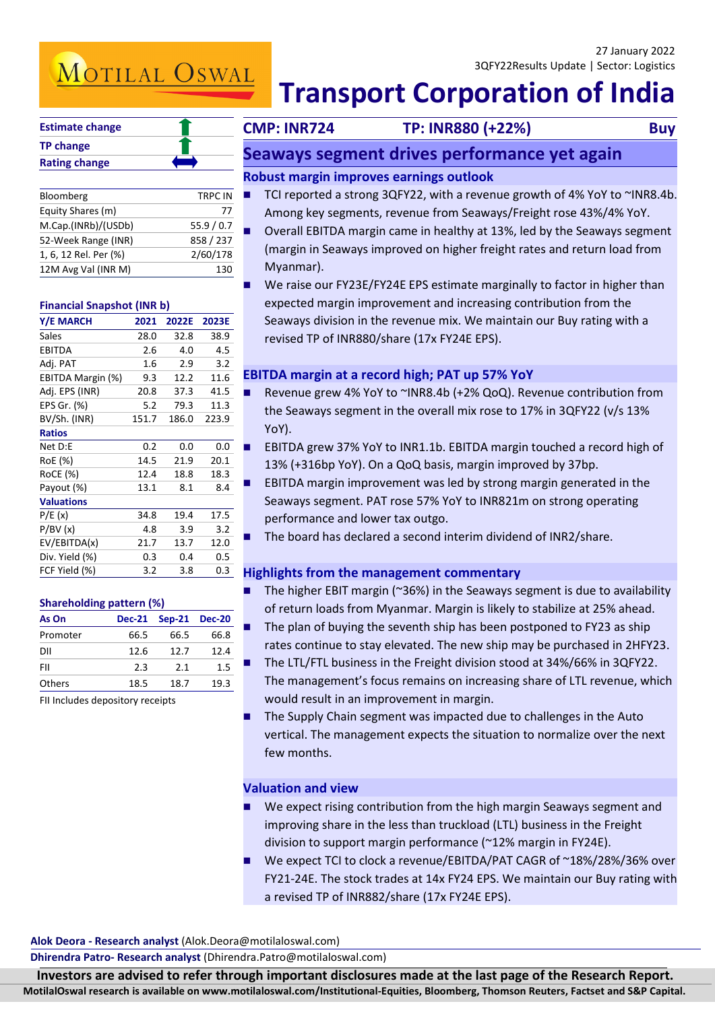# MOTILAL OSWAL

| <b>Estimate change</b> |  |
|------------------------|--|
| <b>TP change</b>       |  |
| <b>Rating change</b>   |  |

| Bloomberg             | <b>TRPC IN</b> |
|-----------------------|----------------|
| Equity Shares (m)     | 77             |
| M.Cap.(INRb)/(USDb)   | 55.9/0.7       |
| 52-Week Range (INR)   | 858 / 237      |
| 1, 6, 12 Rel. Per (%) | 2/60/178       |
| 12M Avg Val (INR M)   | 130            |

#### **Financial Snapshot (INR b)**

| <b>Y/E MARCH</b>  | 2021  | 2022E | 2023E |
|-------------------|-------|-------|-------|
| Sales             | 28.0  | 32.8  | 38.9  |
| EBITDA            | 2.6   | 4.0   | 4.5   |
| Adj. PAT          | 1.6   | 2.9   | 3.2   |
| EBITDA Margin (%) | 9.3   | 12.2  | 11.6  |
| Adj. EPS (INR)    | 20.8  | 37.3  | 41.5  |
| EPS Gr. (%)       | 5.2   | 79.3  | 11.3  |
| BV/Sh. (INR)      | 151.7 | 186.0 | 223.9 |
| <b>Ratios</b>     |       |       |       |
| Net D:E           | 0.2   | 0.0   | 0.0   |
| RoE (%)           | 14.5  | 21.9  | 20.1  |
| RoCE (%)          | 12.4  | 18.8  | 18.3  |
| Payout (%)        | 13.1  | 8.1   | 8.4   |
| <b>Valuations</b> |       |       |       |
| P/E(x)            | 34.8  | 19.4  | 17.5  |
| P/BV(x)           | 4.8   | 3.9   | 3.2   |
| EV/EBITDA(x)      | 21.7  | 13.7  | 12.0  |
| Div. Yield (%)    | 0.3   | 0.4   | 0.5   |
| FCF Yield (%)     | 3.2   | 3.8   | 0.3   |

#### **Shareholding pattern (%)**

| As On         |      | Dec-21 Sep-21 | <b>Dec-20</b> |
|---------------|------|---------------|---------------|
| Promoter      | 66.5 | 66.5          | 66.8          |
| DII           | 12.6 | 12.7          | 12.4          |
| FII           | 2.3  | 2.1           | $1.5\,$       |
| <b>Others</b> | 18.5 | 18.7          | 19.3          |
|               |      |               |               |

FII Includes depository receipts

# **Transport Corporation of India**

## **CMP: INR724 TP: INR880 (+22%) Buy**

## **Seaways segment drives performance yet again**

### **Robust margin improves earnings outlook**

- TCI reported a strong 3QFY22, with a revenue growth of 4% YoY to ~INR8.4b. Among key segments, revenue from Seaways/Freight rose 43%/4% YoY.
- Overall EBITDA margin came in healthy at 13%, led by the Seaways segment (margin in Seaways improved on higher freight rates and return load from Myanmar).
- We raise our FY23E/FY24E EPS estimate marginally to factor in higher than expected margin improvement and increasing contribution from the Seaways division in the revenue mix. We maintain our Buy rating with a revised TP of INR880/share (17x FY24E EPS).

## **EBITDA margin at a record high; PAT up 57% YoY**

- Revenue grew 4% YoY to ~INR8.4b (+2% QoQ). Revenue contribution from the Seaways segment in the overall mix rose to 17% in 3QFY22 (v/s 13% YoY).
- EBITDA grew 37% YoY to INR1.1b. EBITDA margin touched a record high of 13% (+316bp YoY). On a QoQ basis, margin improved by 37bp.
- **EBITDA** margin improvement was led by strong margin generated in the Seaways segment. PAT rose 57% YoY to INR821m on strong operating performance and lower tax outgo.
- The board has declared a second interim dividend of INR2/share.

### **Highlights from the management commentary**

- The higher EBIT margin ( $\approx$ 36%) in the Seaways segment is due to availability of return loads from Myanmar. Margin is likely to stabilize at 25% ahead.
- The plan of buying the seventh ship has been postponed to FY23 as ship rates continue to stay elevated. The new ship may be purchased in 2HFY23.
- The LTL/FTL business in the Freight division stood at 34%/66% in 3QFY22. The management's focus remains on increasing share of LTL revenue, which would result in an improvement in margin.
- The Supply Chain segment was impacted due to challenges in the Auto vertical. The management expects the situation to normalize over the next few months.

#### **Valuation and view**

- We expect rising contribution from the high margin Seaways segment and improving share in the less than truckload (LTL) business in the Freight division to support margin performance (~12% margin in FY24E).
- We expect TCI to clock a revenue/EBITDA/PAT CAGR of ~18%/28%/36% over FY21-24E. The stock trades at 14x FY24 EPS. We maintain our Buy rating with a revised TP of INR882/share (17x FY24E EPS).

**Alok Deora - Research analyst** (Alok.Deora@motilaloswal.com)

**Dhirendra Patro- Research analyst** (Dhirendra.Patro@motilaloswal.com)

Investors are advised to refer through important disclosures made at the last page of the Research Report.

**MotilalOswal research is available on www.motilaloswal.com/Institutional-Equities, Bloomberg, Thomson Reuters, Factset and S&P Capital.**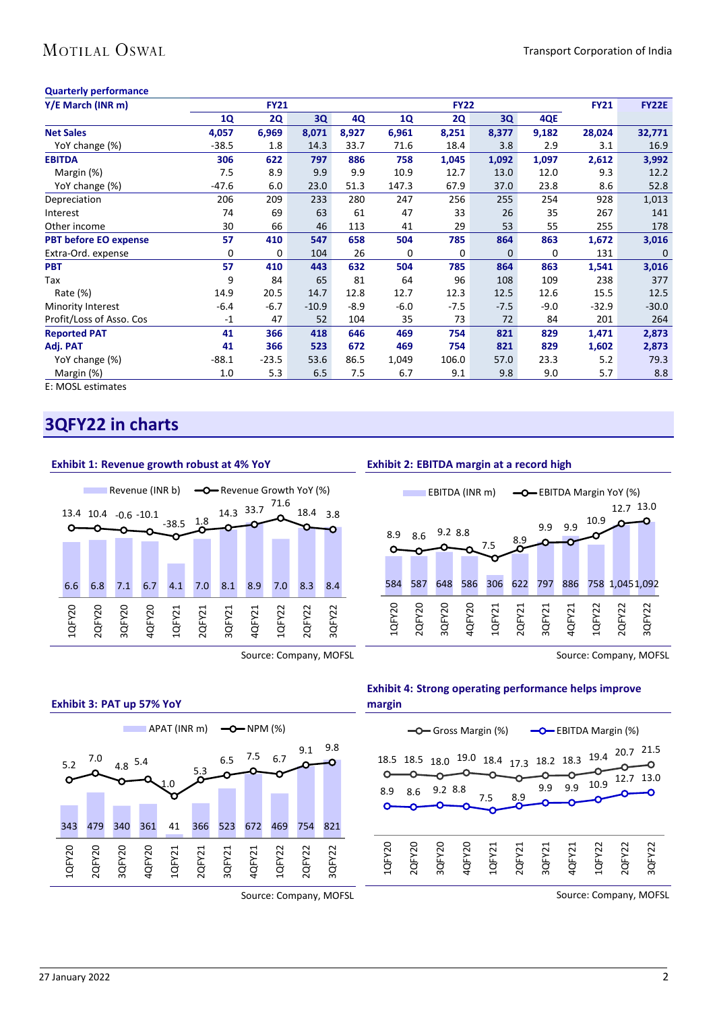#### **Quarterly performance**

| Y/E March (INR m)            |           | <b>FY21</b> |         |        |        | <b>FY22</b> |             |        | <b>FY21</b> | <b>FY22E</b> |
|------------------------------|-----------|-------------|---------|--------|--------|-------------|-------------|--------|-------------|--------------|
|                              | <b>1Q</b> | <b>2Q</b>   | 3Q      | 4Q     | 1Q     | 2Q          | 3Q          | 4QE    |             |              |
| <b>Net Sales</b>             | 4,057     | 6,969       | 8,071   | 8,927  | 6,961  | 8,251       | 8,377       | 9,182  | 28,024      | 32,771       |
| YoY change (%)               | $-38.5$   | 1.8         | 14.3    | 33.7   | 71.6   | 18.4        | 3.8         | 2.9    | 3.1         | 16.9         |
| <b>EBITDA</b>                | 306       | 622         | 797     | 886    | 758    | 1,045       | 1,092       | 1,097  | 2,612       | 3,992        |
| Margin (%)                   | 7.5       | 8.9         | 9.9     | 9.9    | 10.9   | 12.7        | 13.0        | 12.0   | 9.3         | 12.2         |
| YoY change (%)               | $-47.6$   | 6.0         | 23.0    | 51.3   | 147.3  | 67.9        | 37.0        | 23.8   | 8.6         | 52.8         |
| Depreciation                 | 206       | 209         | 233     | 280    | 247    | 256         | 255         | 254    | 928         | 1,013        |
| Interest                     | 74        | 69          | 63      | 61     | 47     | 33          | 26          | 35     | 267         | 141          |
| Other income                 | 30        | 66          | 46      | 113    | 41     | 29          | 53          | 55     | 255         | 178          |
| <b>PBT before EO expense</b> | 57        | 410         | 547     | 658    | 504    | 785         | 864         | 863    | 1,672       | 3,016        |
| Extra-Ord. expense           | 0         | 0           | 104     | 26     | 0      | 0           | $\mathbf 0$ | 0      | 131         | $\mathbf{0}$ |
| <b>PBT</b>                   | 57        | 410         | 443     | 632    | 504    | 785         | 864         | 863    | 1,541       | 3,016        |
| Tax                          | 9         | 84          | 65      | 81     | 64     | 96          | 108         | 109    | 238         | 377          |
| Rate $(\%)$                  | 14.9      | 20.5        | 14.7    | 12.8   | 12.7   | 12.3        | 12.5        | 12.6   | 15.5        | 12.5         |
| <b>Minority Interest</b>     | $-6.4$    | $-6.7$      | $-10.9$ | $-8.9$ | $-6.0$ | $-7.5$      | $-7.5$      | $-9.0$ | $-32.9$     | $-30.0$      |
| Profit/Loss of Asso. Cos     | $-1$      | 47          | 52      | 104    | 35     | 73          | 72          | 84     | 201         | 264          |
| <b>Reported PAT</b>          | 41        | 366         | 418     | 646    | 469    | 754         | 821         | 829    | 1,471       | 2,873        |
| Adj. PAT                     | 41        | 366         | 523     | 672    | 469    | 754         | 821         | 829    | 1,602       | 2,873        |
| YoY change (%)               | $-88.1$   | $-23.5$     | 53.6    | 86.5   | 1,049  | 106.0       | 57.0        | 23.3   | 5.2         | 79.3         |
| Margin (%)                   | 1.0       | 5.3         | 6.5     | 7.5    | 6.7    | 9.1         | 9.8         | 9.0    | 5.7         | 8.8          |

E: MOSL estimates

# **3QFY22 in charts**



**Exhibit 1: Revenue growth robust at 4% YoY**

Source: Company, MOFSL

#### **Exhibit 2: EBITDA margin at a record high**



Source: Company, MOFSL



Source: Company, MOFSL

### **Exhibit 4: Strong operating performance helps improve margin**



Source: Company, MOFSL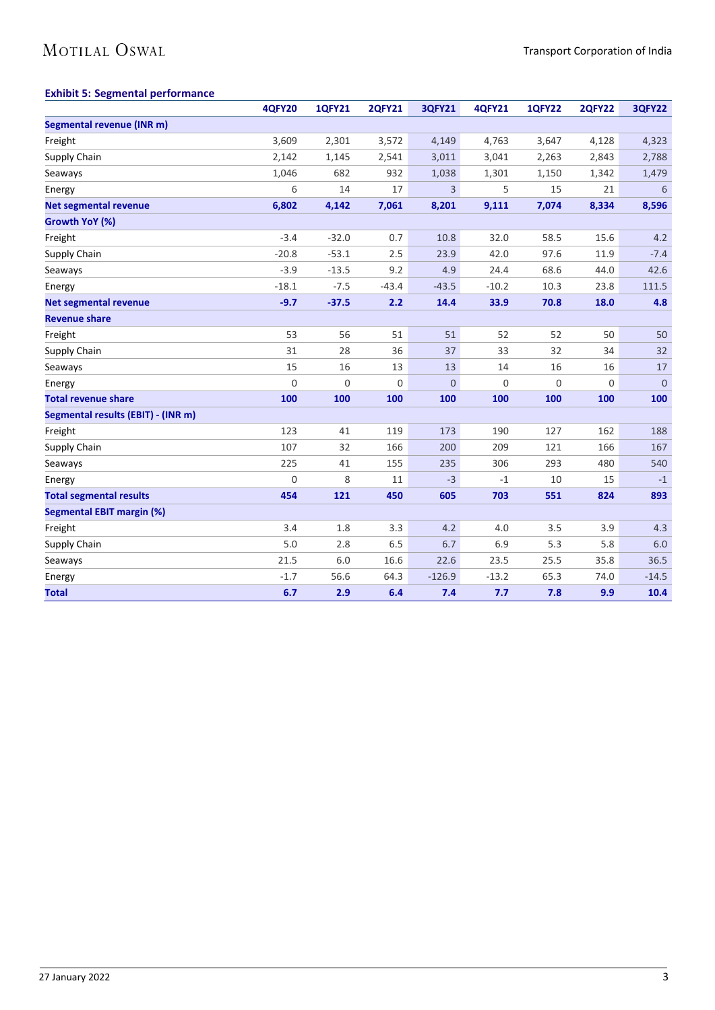# MOTILAL OSWAL

## **Exhibit 5: Segmental performance**

|                                    | <b>4QFY20</b> | <b>1QFY21</b> | <b>2QFY21</b> | <b>3QFY21</b> | <b>4QFY21</b> | <b>1QFY22</b> | <b>2QFY22</b> | <b>3QFY22</b> |
|------------------------------------|---------------|---------------|---------------|---------------|---------------|---------------|---------------|---------------|
| <b>Segmental revenue (INR m)</b>   |               |               |               |               |               |               |               |               |
| Freight                            | 3,609         | 2,301         | 3,572         | 4,149         | 4,763         | 3,647         | 4,128         | 4,323         |
| Supply Chain                       | 2,142         | 1,145         | 2,541         | 3,011         | 3,041         | 2,263         | 2,843         | 2,788         |
| Seaways                            | 1,046         | 682           | 932           | 1,038         | 1,301         | 1,150         | 1,342         | 1,479         |
| Energy                             | 6             | 14            | 17            | 3             | 5             | 15            | 21            | 6             |
| <b>Net segmental revenue</b>       | 6,802         | 4,142         | 7,061         | 8,201         | 9,111         | 7,074         | 8,334         | 8,596         |
| Growth YoY (%)                     |               |               |               |               |               |               |               |               |
| Freight                            | $-3.4$        | $-32.0$       | 0.7           | 10.8          | 32.0          | 58.5          | 15.6          | 4.2           |
| Supply Chain                       | $-20.8$       | $-53.1$       | 2.5           | 23.9          | 42.0          | 97.6          | 11.9          | $-7.4$        |
| Seaways                            | $-3.9$        | $-13.5$       | 9.2           | 4.9           | 24.4          | 68.6          | 44.0          | 42.6          |
| Energy                             | $-18.1$       | $-7.5$        | $-43.4$       | $-43.5$       | $-10.2$       | 10.3          | 23.8          | 111.5         |
| <b>Net segmental revenue</b>       | $-9.7$        | $-37.5$       | 2.2           | 14.4          | 33.9          | 70.8          | 18.0          | 4.8           |
| <b>Revenue share</b>               |               |               |               |               |               |               |               |               |
| Freight                            | 53            | 56            | 51            | 51            | 52            | 52            | 50            | 50            |
| Supply Chain                       | 31            | 28            | 36            | 37            | 33            | 32            | 34            | 32            |
| Seaways                            | 15            | 16            | 13            | 13            | 14            | 16            | 16            | 17            |
| Energy                             | $\mathbf 0$   | 0             | 0             | $\mathbf{0}$  | 0             | 0             | $\mathbf 0$   | $\mathbf{0}$  |
| <b>Total revenue share</b>         | 100           | 100           | 100           | 100           | 100           | 100           | 100           | 100           |
| Segmental results (EBIT) - (INR m) |               |               |               |               |               |               |               |               |
| Freight                            | 123           | 41            | 119           | 173           | 190           | 127           | 162           | 188           |
| Supply Chain                       | 107           | 32            | 166           | 200           | 209           | 121           | 166           | 167           |
| Seaways                            | 225           | 41            | 155           | 235           | 306           | 293           | 480           | 540           |
| Energy                             | $\mathbf 0$   | 8             | 11            | $-3$          | $-1$          | 10            | 15            | $-1$          |
| <b>Total segmental results</b>     | 454           | 121           | 450           | 605           | 703           | 551           | 824           | 893           |
| <b>Segmental EBIT margin (%)</b>   |               |               |               |               |               |               |               |               |
| Freight                            | 3.4           | 1.8           | 3.3           | 4.2           | 4.0           | 3.5           | 3.9           | 4.3           |
| Supply Chain                       | 5.0           | 2.8           | 6.5           | 6.7           | 6.9           | 5.3           | 5.8           | 6.0           |
| Seaways                            | 21.5          | 6.0           | 16.6          | 22.6          | 23.5          | 25.5          | 35.8          | 36.5          |
| Energy                             | $-1.7$        | 56.6          | 64.3          | $-126.9$      | $-13.2$       | 65.3          | 74.0          | $-14.5$       |
| <b>Total</b>                       | 6.7           | 2.9           | 6.4           | 7.4           | 7.7           | 7.8           | 9.9           | 10.4          |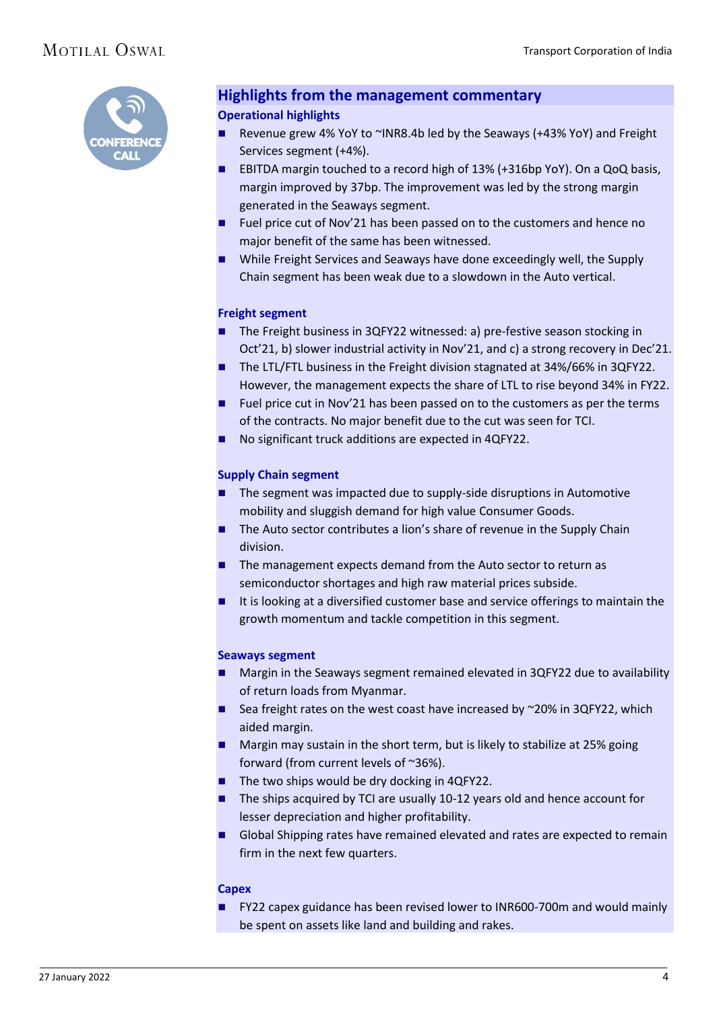

## **Highlights from the management commentary**

## **Operational highlights**

- Revenue grew 4% YoY to ~INR8.4b led by the Seaways (+43% YoY) and Freight Services segment (+4%).
- EBITDA margin touched to a record high of 13% (+316bp YoY). On a QoQ basis, margin improved by 37bp. The improvement was led by the strong margin generated in the Seaways segment.
- Fuel price cut of Nov'21 has been passed on to the customers and hence no major benefit of the same has been witnessed.
- While Freight Services and Seaways have done exceedingly well, the Supply Chain segment has been weak due to a slowdown in the Auto vertical.

## **Freight segment**

- The Freight business in 3QFY22 witnessed: a) pre-festive season stocking in Oct'21, b) slower industrial activity in Nov'21, and c) a strong recovery in Dec'21.
- The LTL/FTL business in the Freight division stagnated at 34%/66% in 3QFY22. However, the management expects the share of LTL to rise beyond 34% in FY22.
- Fuel price cut in Nov'21 has been passed on to the customers as per the terms of the contracts. No major benefit due to the cut was seen for TCI.
- No significant truck additions are expected in 4QFY22.

## **Supply Chain segment**

- $\blacksquare$  The segment was impacted due to supply-side disruptions in Automotive mobility and sluggish demand for high value Consumer Goods.
- The Auto sector contributes a lion's share of revenue in the Supply Chain division.
- $\blacksquare$  The management expects demand from the Auto sector to return as semiconductor shortages and high raw material prices subside.
- It is looking at a diversified customer base and service offerings to maintain the growth momentum and tackle competition in this segment.

## **Seaways segment**

- Margin in the Seaways segment remained elevated in 3QFY22 due to availability of return loads from Myanmar.
- Sea freight rates on the west coast have increased by  $\sim$  20% in 3QFY22, which aided margin.
- **Margin may sustain in the short term, but is likely to stabilize at 25% going** forward (from current levels of ~36%).
- $\blacksquare$  The two ships would be dry docking in 4QFY22.
- $\blacksquare$  The ships acquired by TCI are usually 10-12 years old and hence account for lesser depreciation and higher profitability.
- Global Shipping rates have remained elevated and rates are expected to remain firm in the next few quarters.

### **Capex**

■ FY22 capex guidance has been revised lower to INR600-700m and would mainly be spent on assets like land and building and rakes.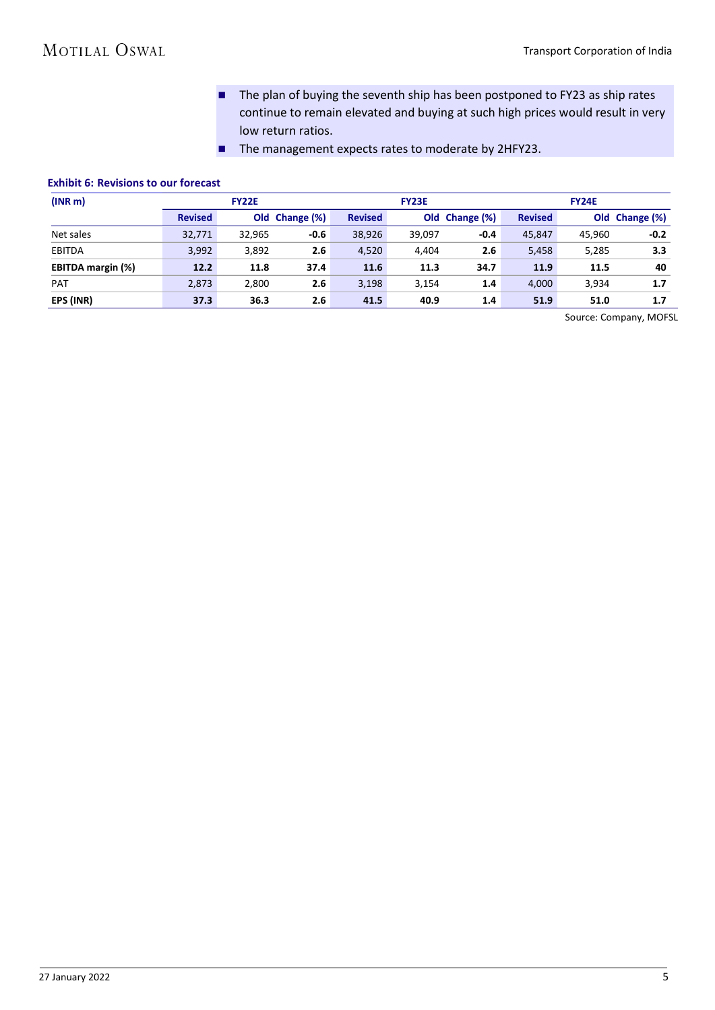- The plan of buying the seventh ship has been postponed to FY23 as ship rates continue to remain elevated and buying at such high prices would result in very low return ratios.
- The management expects rates to moderate by 2HFY23.

#### **Exhibit 6: Revisions to our forecast**

| (INR <sub>m</sub> )      |                | <b>FY22E</b> |                |                | <b>FY23E</b> |                |                | <b>FY24E</b> |                |
|--------------------------|----------------|--------------|----------------|----------------|--------------|----------------|----------------|--------------|----------------|
|                          | <b>Revised</b> |              | Old Change (%) | <b>Revised</b> |              | Old Change (%) | <b>Revised</b> |              | Old Change (%) |
| Net sales                | 32.771         | 32.965       | $-0.6$         | 38,926         | 39,097       | $-0.4$         | 45.847         | 45.960       | $-0.2$         |
| <b>EBITDA</b>            | 3.992          | 3,892        | 2.6            | 4,520          | 4.404        | 2.6            | 5,458          | 5,285        | 3.3            |
| <b>EBITDA</b> margin (%) | 12.2           | 11.8         | 37.4           | 11.6           | 11.3         | 34.7           | 11.9           | 11.5         | 40             |
| <b>PAT</b>               | 2,873          | 2,800        | 2.6            | 3,198          | 3.154        | 1.4            | 4.000          | 3.934        | 1.7            |
| EPS (INR)                | 37.3           | 36.3         | 2.6            | 41.5           | 40.9         | 1.4            | 51.9           | 51.0         | 1.7            |

Source: Company, MOFSL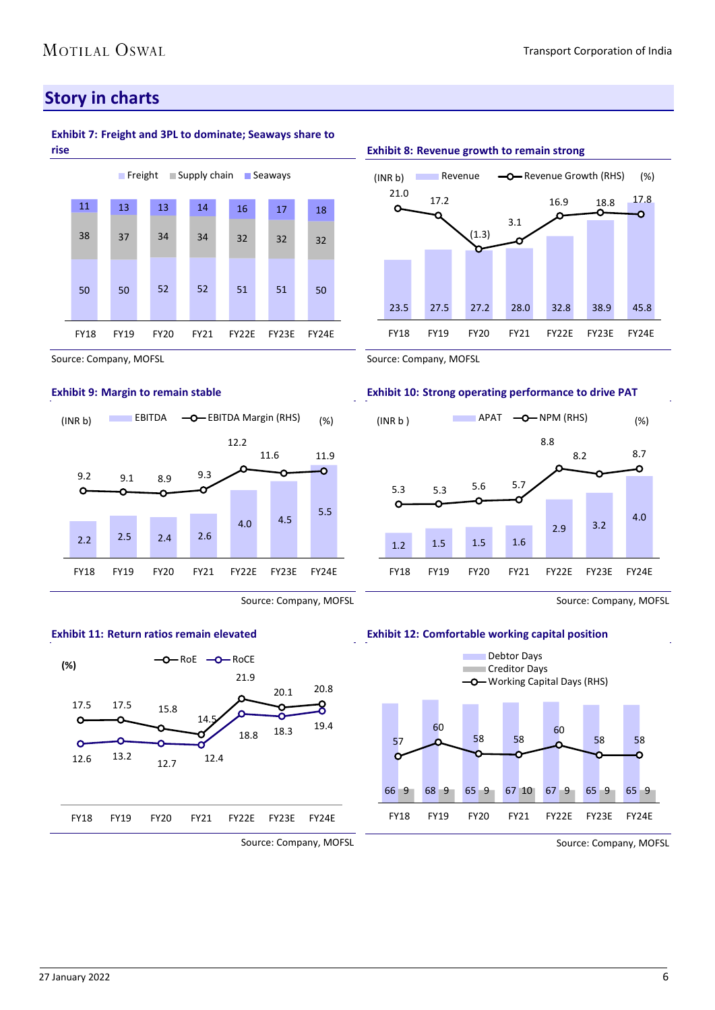# **Story in charts**

#### **Exhibit 7: Freight and 3PL to dominate; Seaways share to rise**



Source: Company, MOFSL

#### **Exhibit 9: Margin to remain stable**



Source: Company, MOFSL

### **Exhibit 11: Return ratios remain elevated**



#### **Exhibit 8: Revenue growth to remain strong**



Source: Company, MOFSL

#### **Exhibit 10: Strong operating performance to drive PAT**



Source: Company, MOFSL

#### **Exhibit 12: Comfortable working capital position**



Source: Company, MOFSL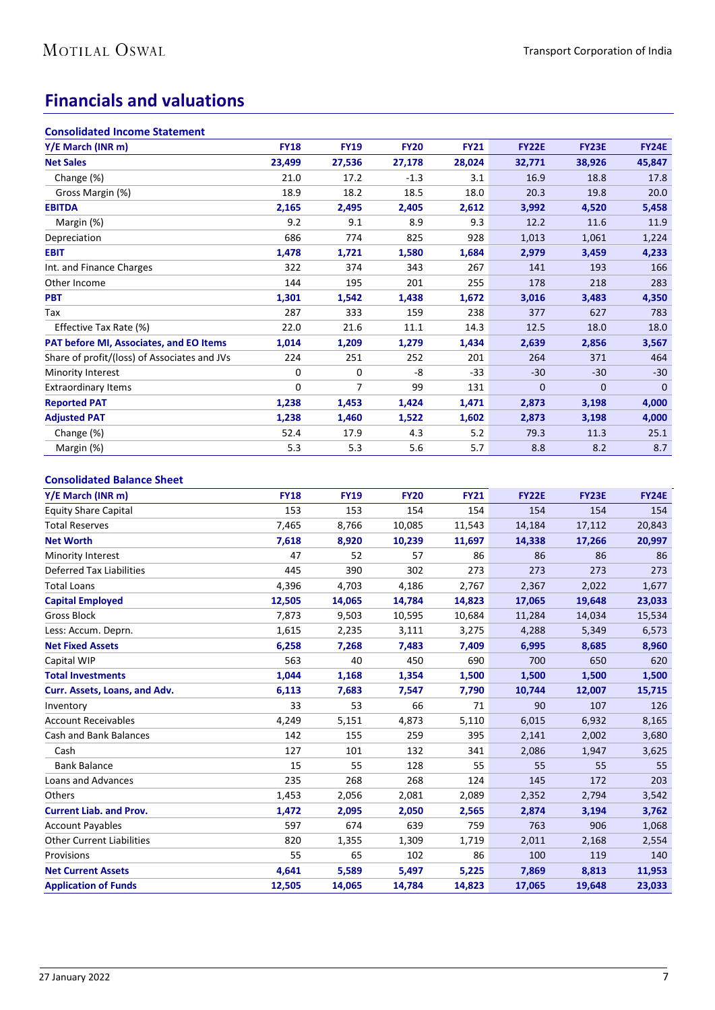# **Financials and valuations**

| <b>Consolidated Income Statement</b>         |             |             |             |             |              |              |              |
|----------------------------------------------|-------------|-------------|-------------|-------------|--------------|--------------|--------------|
| Y/E March (INR m)                            | <b>FY18</b> | <b>FY19</b> | <b>FY20</b> | <b>FY21</b> | <b>FY22E</b> | <b>FY23E</b> | <b>FY24E</b> |
| <b>Net Sales</b>                             | 23,499      | 27,536      | 27,178      | 28,024      | 32,771       | 38,926       | 45,847       |
| Change (%)                                   | 21.0        | 17.2        | $-1.3$      | 3.1         | 16.9         | 18.8         | 17.8         |
| Gross Margin (%)                             | 18.9        | 18.2        | 18.5        | 18.0        | 20.3         | 19.8         | 20.0         |
| <b>EBITDA</b>                                | 2,165       | 2,495       | 2,405       | 2,612       | 3,992        | 4,520        | 5,458        |
| Margin (%)                                   | 9.2         | 9.1         | 8.9         | 9.3         | 12.2         | 11.6         | 11.9         |
| Depreciation                                 | 686         | 774         | 825         | 928         | 1,013        | 1,061        | 1,224        |
| <b>EBIT</b>                                  | 1,478       | 1,721       | 1,580       | 1,684       | 2,979        | 3,459        | 4,233        |
| Int. and Finance Charges                     | 322         | 374         | 343         | 267         | 141          | 193          | 166          |
| Other Income                                 | 144         | 195         | 201         | 255         | 178          | 218          | 283          |
| <b>PBT</b>                                   | 1,301       | 1,542       | 1,438       | 1,672       | 3,016        | 3,483        | 4,350        |
| Tax                                          | 287         | 333         | 159         | 238         | 377          | 627          | 783          |
| Effective Tax Rate (%)                       | 22.0        | 21.6        | 11.1        | 14.3        | 12.5         | 18.0         | 18.0         |
| PAT before MI, Associates, and EO Items      | 1,014       | 1,209       | 1,279       | 1,434       | 2,639        | 2,856        | 3,567        |
| Share of profit/(loss) of Associates and JVs | 224         | 251         | 252         | 201         | 264          | 371          | 464          |
| Minority Interest                            | 0           | 0           | -8          | $-33$       | $-30$        | $-30$        | $-30$        |
| <b>Extraordinary Items</b>                   | 0           | 7           | 99          | 131         | $\mathbf{0}$ | $\mathbf{0}$ | $\mathbf{0}$ |
| <b>Reported PAT</b>                          | 1,238       | 1,453       | 1,424       | 1,471       | 2,873        | 3,198        | 4,000        |
| <b>Adjusted PAT</b>                          | 1,238       | 1,460       | 1,522       | 1,602       | 2,873        | 3,198        | 4,000        |
| Change (%)                                   | 52.4        | 17.9        | 4.3         | 5.2         | 79.3         | 11.3         | 25.1         |
| Margin (%)                                   | 5.3         | 5.3         | 5.6         | 5.7         | 8.8          | 8.2          | 8.7          |

#### **Consolidated Balance Sheet**

| Y/E March (INR m)                | <b>FY18</b> | <b>FY19</b> | <b>FY20</b> | <b>FY21</b> | <b>FY22E</b> | <b>FY23E</b> | <b>FY24E</b> |
|----------------------------------|-------------|-------------|-------------|-------------|--------------|--------------|--------------|
| <b>Equity Share Capital</b>      | 153         | 153         | 154         | 154         | 154          | 154          | 154          |
| <b>Total Reserves</b>            | 7,465       | 8,766       | 10,085      | 11,543      | 14,184       | 17,112       | 20,843       |
| <b>Net Worth</b>                 | 7,618       | 8,920       | 10,239      | 11,697      | 14,338       | 17,266       | 20,997       |
| <b>Minority Interest</b>         | 47          | 52          | 57          | 86          | 86           | 86           | 86           |
| <b>Deferred Tax Liabilities</b>  | 445         | 390         | 302         | 273         | 273          | 273          | 273          |
| <b>Total Loans</b>               | 4,396       | 4,703       | 4,186       | 2,767       | 2,367        | 2,022        | 1,677        |
| <b>Capital Employed</b>          | 12,505      | 14,065      | 14,784      | 14,823      | 17,065       | 19,648       | 23,033       |
| <b>Gross Block</b>               | 7,873       | 9,503       | 10,595      | 10,684      | 11,284       | 14,034       | 15,534       |
| Less: Accum. Deprn.              | 1,615       | 2,235       | 3,111       | 3,275       | 4,288        | 5,349        | 6,573        |
| <b>Net Fixed Assets</b>          | 6,258       | 7,268       | 7,483       | 7,409       | 6,995        | 8,685        | 8,960        |
| Capital WIP                      | 563         | 40          | 450         | 690         | 700          | 650          | 620          |
| <b>Total Investments</b>         | 1,044       | 1,168       | 1,354       | 1,500       | 1,500        | 1,500        | 1,500        |
| Curr. Assets, Loans, and Adv.    | 6,113       | 7,683       | 7,547       | 7,790       | 10,744       | 12,007       | 15,715       |
| Inventory                        | 33          | 53          | 66          | 71          | 90           | 107          | 126          |
| <b>Account Receivables</b>       | 4,249       | 5,151       | 4,873       | 5,110       | 6,015        | 6,932        | 8,165        |
| <b>Cash and Bank Balances</b>    | 142         | 155         | 259         | 395         | 2,141        | 2,002        | 3,680        |
| Cash                             | 127         | 101         | 132         | 341         | 2,086        | 1,947        | 3,625        |
| <b>Bank Balance</b>              | 15          | 55          | 128         | 55          | 55           | 55           | 55           |
| Loans and Advances               | 235         | 268         | 268         | 124         | 145          | 172          | 203          |
| Others                           | 1,453       | 2,056       | 2,081       | 2,089       | 2,352        | 2,794        | 3,542        |
| <b>Current Liab. and Prov.</b>   | 1,472       | 2,095       | 2,050       | 2,565       | 2,874        | 3,194        | 3,762        |
| <b>Account Payables</b>          | 597         | 674         | 639         | 759         | 763          | 906          | 1,068        |
| <b>Other Current Liabilities</b> | 820         | 1,355       | 1,309       | 1,719       | 2,011        | 2,168        | 2,554        |
| Provisions                       | 55          | 65          | 102         | 86          | 100          | 119          | 140          |
| <b>Net Current Assets</b>        | 4,641       | 5,589       | 5,497       | 5,225       | 7,869        | 8,813        | 11,953       |
| <b>Application of Funds</b>      | 12,505      | 14,065      | 14,784      | 14,823      | 17,065       | 19,648       | 23,033       |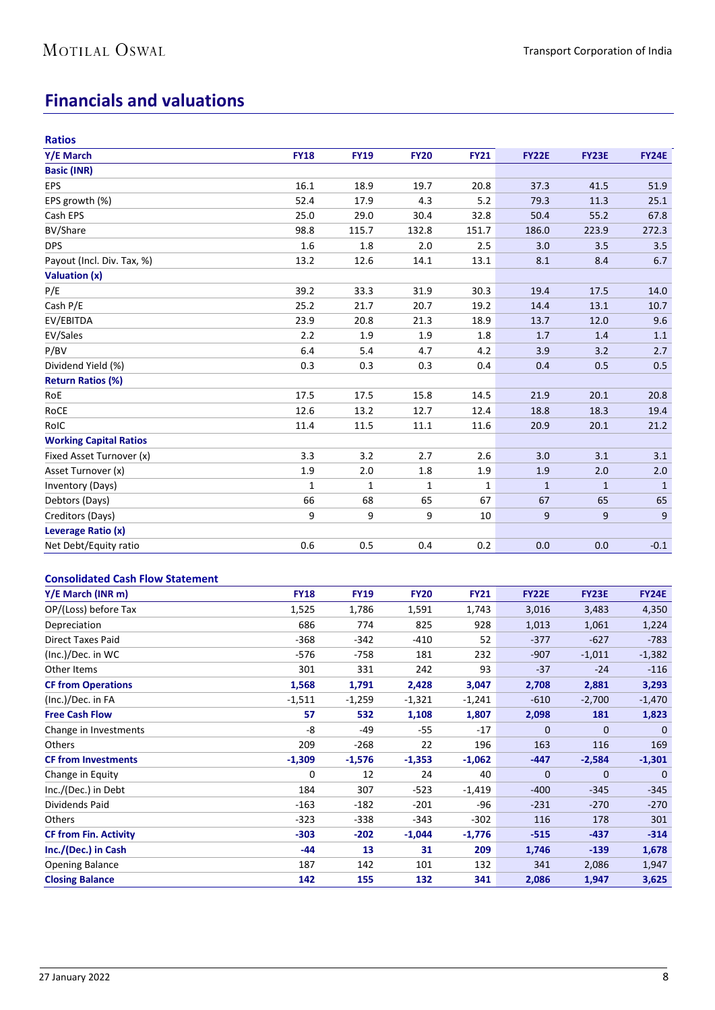# **Financials and valuations**

| <b>Ratios</b>                 |             |             |              |              |              |              |              |
|-------------------------------|-------------|-------------|--------------|--------------|--------------|--------------|--------------|
| Y/E March                     | <b>FY18</b> | <b>FY19</b> | <b>FY20</b>  | <b>FY21</b>  | <b>FY22E</b> | <b>FY23E</b> | <b>FY24E</b> |
| <b>Basic (INR)</b>            |             |             |              |              |              |              |              |
| <b>EPS</b>                    | 16.1        | 18.9        | 19.7         | 20.8         | 37.3         | 41.5         | 51.9         |
| EPS growth (%)                | 52.4        | 17.9        | 4.3          | 5.2          | 79.3         | 11.3         | 25.1         |
| Cash EPS                      | 25.0        | 29.0        | 30.4         | 32.8         | 50.4         | 55.2         | 67.8         |
| BV/Share                      | 98.8        | 115.7       | 132.8        | 151.7        | 186.0        | 223.9        | 272.3        |
| <b>DPS</b>                    | 1.6         | 1.8         | 2.0          | 2.5          | 3.0          | 3.5          | 3.5          |
| Payout (Incl. Div. Tax, %)    | 13.2        | 12.6        | 14.1         | 13.1         | 8.1          | 8.4          | 6.7          |
| Valuation (x)                 |             |             |              |              |              |              |              |
| P/E                           | 39.2        | 33.3        | 31.9         | 30.3         | 19.4         | 17.5         | 14.0         |
| Cash P/E                      | 25.2        | 21.7        | 20.7         | 19.2         | 14.4         | 13.1         | 10.7         |
| EV/EBITDA                     | 23.9        | 20.8        | 21.3         | 18.9         | 13.7         | 12.0         | 9.6          |
| EV/Sales                      | 2.2         | 1.9         | 1.9          | 1.8          | 1.7          | 1.4          | 1.1          |
| P/BV                          | 6.4         | 5.4         | 4.7          | 4.2          | 3.9          | 3.2          | 2.7          |
| Dividend Yield (%)            | 0.3         | 0.3         | 0.3          | 0.4          | 0.4          | 0.5          | 0.5          |
| <b>Return Ratios (%)</b>      |             |             |              |              |              |              |              |
| RoE                           | 17.5        | 17.5        | 15.8         | 14.5         | 21.9         | 20.1         | 20.8         |
| RoCE                          | 12.6        | 13.2        | 12.7         | 12.4         | 18.8         | 18.3         | 19.4         |
| RoIC                          | 11.4        | 11.5        | 11.1         | 11.6         | 20.9         | 20.1         | 21.2         |
| <b>Working Capital Ratios</b> |             |             |              |              |              |              |              |
| Fixed Asset Turnover (x)      | 3.3         | 3.2         | 2.7          | 2.6          | 3.0          | 3.1          | 3.1          |
| Asset Turnover (x)            | 1.9         | 2.0         | 1.8          | 1.9          | 1.9          | 2.0          | 2.0          |
| Inventory (Days)              | 1           | 1           | $\mathbf{1}$ | $\mathbf{1}$ | $\mathbf{1}$ | $\mathbf{1}$ | $\mathbf{1}$ |
| Debtors (Days)                | 66          | 68          | 65           | 67           | 67           | 65           | 65           |
| Creditors (Days)              | 9           | 9           | 9            | 10           | 9            | 9            | 9            |
| Leverage Ratio (x)            |             |             |              |              |              |              |              |
| Net Debt/Equity ratio         | 0.6         | 0.5         | 0.4          | 0.2          | 0.0          | 0.0          | $-0.1$       |

#### **Consolidated Cash Flow Statement**

| Y/E March (INR m)            | <b>FY18</b> | <b>FY19</b> | <b>FY20</b> | <b>FY21</b> | <b>FY22E</b> | <b>FY23E</b> | <b>FY24E</b> |
|------------------------------|-------------|-------------|-------------|-------------|--------------|--------------|--------------|
| OP/(Loss) before Tax         | 1,525       | 1,786       | 1,591       | 1,743       | 3,016        | 3,483        | 4,350        |
| Depreciation                 | 686         | 774         | 825         | 928         | 1,013        | 1,061        | 1,224        |
| <b>Direct Taxes Paid</b>     | $-368$      | $-342$      | $-410$      | 52          | $-377$       | $-627$       | $-783$       |
| (Inc.)/Dec. in WC            | -576        | -758        | 181         | 232         | $-907$       | $-1,011$     | $-1,382$     |
| Other Items                  | 301         | 331         | 242         | 93          | $-37$        | $-24$        | $-116$       |
| <b>CF from Operations</b>    | 1,568       | 1,791       | 2,428       | 3,047       | 2,708        | 2,881        | 3,293        |
| (Inc.)/Dec. in FA            | $-1,511$    | $-1,259$    | $-1,321$    | $-1,241$    | $-610$       | $-2,700$     | $-1,470$     |
| <b>Free Cash Flow</b>        | 57          | 532         | 1,108       | 1,807       | 2,098        | 181          | 1,823        |
| Change in Investments        | -8          | -49         | $-55$       | $-17$       | $\mathbf{0}$ | $\mathbf{0}$ | $\mathbf{0}$ |
| Others                       | 209         | $-268$      | 22          | 196         | 163          | 116          | 169          |
| <b>CF from Investments</b>   | $-1,309$    | $-1,576$    | $-1,353$    | $-1,062$    | $-447$       | $-2,584$     | $-1,301$     |
| Change in Equity             | 0           | 12          | 24          | 40          | $\mathbf{0}$ | $\Omega$     | $\Omega$     |
| Inc./(Dec.) in Debt          | 184         | 307         | $-523$      | $-1,419$    | $-400$       | $-345$       | $-345$       |
| Dividends Paid               | $-163$      | $-182$      | $-201$      | -96         | $-231$       | $-270$       | $-270$       |
| Others                       | $-323$      | $-338$      | $-343$      | $-302$      | 116          | 178          | 301          |
| <b>CF from Fin. Activity</b> | $-303$      | $-202$      | $-1,044$    | $-1,776$    | $-515$       | $-437$       | $-314$       |
| Inc./(Dec.) in Cash          | -44         | 13          | 31          | 209         | 1,746        | $-139$       | 1,678        |
| <b>Opening Balance</b>       | 187         | 142         | 101         | 132         | 341          | 2,086        | 1,947        |
| <b>Closing Balance</b>       | 142         | 155         | 132         | 341         | 2,086        | 1,947        | 3,625        |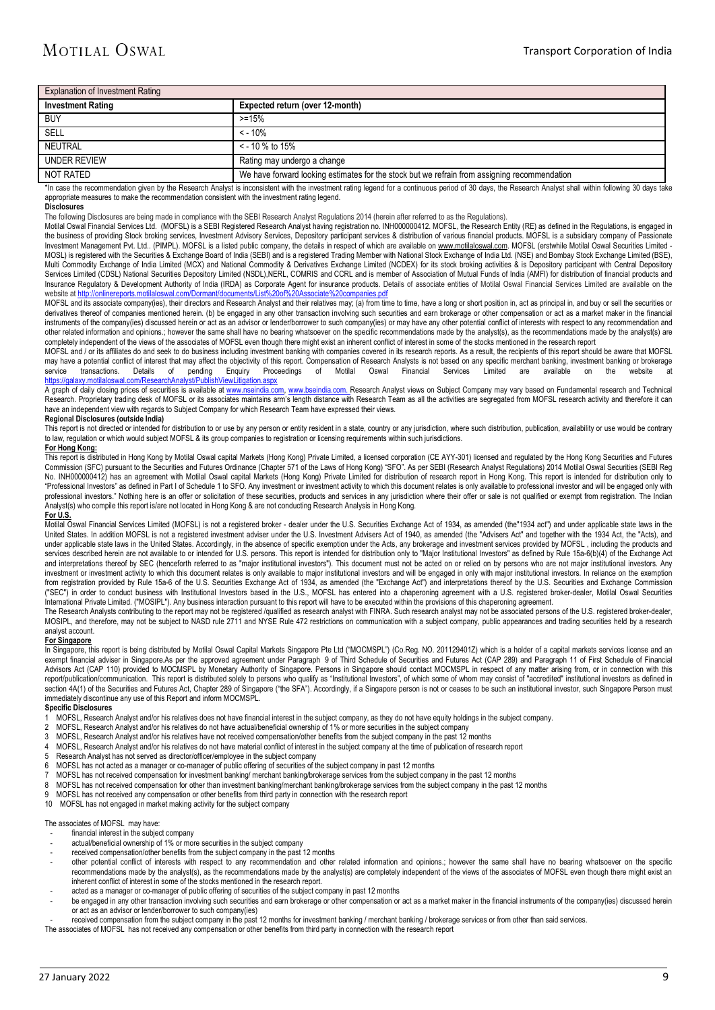| <b>Explanation of Investment Rating</b> |                                                                                              |  |  |  |  |
|-----------------------------------------|----------------------------------------------------------------------------------------------|--|--|--|--|
| <b>Investment Rating</b>                | Expected return (over 12-month)                                                              |  |  |  |  |
| BUY                                     | $> = 15%$                                                                                    |  |  |  |  |
| SELL                                    | $<$ - 10%                                                                                    |  |  |  |  |
| NEUTRAL                                 | $\le$ - 10 % to 15%                                                                          |  |  |  |  |
| UNDER REVIEW                            | Rating may undergo a change                                                                  |  |  |  |  |
| NOT RATED                               | We have forward looking estimates for the stock but we refrain from assigning recommendation |  |  |  |  |

\*In case the recommendation given by the Research Analyst is inconsistent with the investment rating legend for a continuous period of 30 days, the Research Analyst shall within following 30 days take appropriate measures to make the recommendation consistent with the investment rating legend.

#### **Disclosures**

The following Disclosures are being made in compliance with the SEBI Research Analyst Regulations 2014 (herein after referred to as the Regulations).

Motilal Oswal Financial Services Ltd. (MOFSL) is a SEBI Registered Research Analyst having registration no. INH000000412. MOFSL, the Research Entity (RE) as defined in the Regulations, is engaged in the business of providing Stock broking services, Investment Advisory Services, Depository participant services & distribution of various financial products. MOFSL is a subsidiary company of Passionate Investment Management Pvt. Ltd.. (PIMPL). MOFSL is a listed public company, the details in respect of which are available o[n www.motilaloswal.com.](http://www.motilaloswal.com/) MOFSL (erstwhile Motilal Oswal Securities Limited -MOSL) is registered with the Securities & Exchange Board of India (SEBI) and is a registered Trading Member with National Stock Exchange of India Ltd. (NSE) and Bombay Stock Exchange Limited (BSE), Multi Commodity Exchange of India Limited (MCX) and National Commodity & Derivatives Exchange Limited (NCDEX) for its stock broking activities & is Depository participant with Central Depository Services Limited (CDSL) National Securities Depository Limited (NSDL),NERL, COMRIS and CCRL and is member of Association of Mutual Funds of India (AMFI) for distribution of financial products and Insurance Regulatory & Development Authority of India (IRDA) as Corporate Agent for insurance products. Details of associate entities of Motilal Oswal Financial Services Limited are available on the website a[t http://onlinereports.motilaloswal.com/Dormant/documents/List%20of%20Associate%20companies.pdf](http://onlinereports.motilaloswal.com/Dormant/documents/List%20of%20Associate%20companies.pdf)

MOFSL and its associate company(ies), their directors and Research Analyst and their relatives may; (a) from time to time, have a long or short position in, act as principal in, and buy or sell the securities or MOFSL and derivatives thereof of companies mentioned herein. (b) be engaged in any other transaction involving such securities and earn brokerage or other compensation or act as a market maker in the financial instruments of the company(ies) discussed herein or act as an advisor or lender/borrower to such company(ies) or may have any other potential conflict of interests with respect to any recommendation and other related information and opinions.; however the same shall have no bearing whatsoever on the specific recommendations made by the analyst(s), as the recommendations made by the analyst(s) completely independent of the views of the associates of MOFSL even though there might exist an inherent conflict of interest in some of the stocks mentioned in the research report

MOFSL and / or its affiliates do and seek to do business including investment banking with companies covered in its research reports. As a result, the recipients of this report should be aware that MOFSL may have a potential conflict of interest that may affect the objectivity of this report. Compensation of Research Analysts is not based on any specific merchant banking, investment banking or brokerage<br>service transaction service transactions. Details of pending Enquiry Proceedings of Motilal Oswal Financial Services Limited are available on the website at <https://galaxy.motilaloswal.com/ResearchAnalyst/PublishViewLitigation.aspx>

A graph of daily closing prices of securities is available at <u>www.nseindia.com, [www.bseindia.com.](http://www.bseindia.com/) </u>Research Analyst views on Subject Company may vary based on Fundamental research and Technical Research. Proprietary trading desk of MOFSL or its associates maintains arm's length distance with Research Team as all the activities are segregated from MOFSL research activity and therefore it can have an independent view with regards to Subject Company for which Research Team have expressed their views.

#### **Regional Disclosures (outside India)**

This report is not directed or intended for distribution to or use by any person or entity resident in a state, country or any jurisdiction, where such distribution, publication, availability or use would be contrary to law, regulation or which would subject MOFSL & its group companies to registration or licensing requirements within such jurisdictions.

#### **For Hong Kong:**

This report is distributed in Hong Kong by Motilal Oswal capital Markets (Hong Kong) Private Limited, a licensed corporation (CE AYY-301) licensed and regulated by the Hong Kong Securities and Futures Commission (SFC) pursuant to the Securities and Futures Ordinance (Chapter 571 of the Laws of Hong Kong) "SFO". As per SEBI (Research Analyst Regulations) 2014 Motilal Oswal Securities (SEBI Reg No. INH000000412) has an agreement with Motilal Oswal capital Markets (Hong Kong) Private Limited for distribution of research report in Hong Kong. This report is intended for distribution only to The introduced in the control of the control of the control of the street ment or investment activity to which this document relates is only available to professional investor and will be engaged only with professional investors." Nothing here is an offer or solicitation of these securities, products and services in any jurisdiction where their offer or sale is not qualified or exempt from registration. The Indian Analyst(s) who compile this report is/are not located in Hong Kong & are not conducting Research Analysis in Hong Kong. **For U.S.**

Motilal Oswal Financial Services Limited (MOFSL) is not a registered broker - dealer under the U.S. Securities Exchange Act of 1934, as amended (the"1934 act") and under applicable state laws in the United States. In addition MOFSL is not a registered investment adviser under the U.S. Investment Advisers Act of 1940, as amended (the "Advisers Act" and together with the 1934 Act, the "Acts), and under applicable state laws in the United States. Accordingly, in the absence of specific exemption under the Acts, any brokerage and investment services provided by MOFSL, including the products and services described herein are not available to or intended for U.S. persons. This report is intended for distribution only to "Major Institutional Investors" as defined by Rule 15a-6(b)(4) of the Exchange Act and interpretations thereof by SEC (henceforth referred to as "major institutional investors"). This document must not be acted on or relied on by persons who are not major institutional investors. Any investment or investment activity to which this document relates is only available to major institutional investors and will be engaged in only with major institutional investors. In reliance on the exemption from registration provided by Rule 15a-6 of the U.S. Securities Exchange Act of 1934, as amended (the "Exchange Act") and interpretations thereof by the U.S. Securities and Exchange Commission ("SEC") in order to conduct business with Institutional Investors based in the U.S., MOFSL has entered into a chaperoning agreement with a U.S. registered broker-dealer, Motilal Oswal Securities International Private Limited. ("MOSIPL"). Any business interaction pursuant to this report will have to be executed within the provisions of this chaperoning agreement.

The Research Analysts contributing to the report may not be registered /qualified as research analyst with FINRA. Such research analyst may not be associated persons of the U.S. registered broker-dealer, MOSIPL, and therefore, may not be subject to NASD rule 2711 and NYSE Rule 472 restrictions on communication with a subject company, public appearances and trading securities held by a research analyst account.

#### **For Singapore**

In Singapore, this report is being distributed by Motilal Oswal Capital Markets Singapore Pte Ltd ("MOCMSPL") (Co.Reg. NO. 201129401Z) which is a holder of a capital markets services license and an exempt financial adviser in Singapore.As per the approved agreement under Paragraph 9 of Third Schedule of Securities and Futures Act (CAP 289) and Paragraph 11 of First Schedule of Financial Advisors Act (CAP 110) provided to MOCMSPL by Monetary Authority of Singapore. Persons in Singapore should contact MOCMSPL in respect of any matter arising from, or in connection with this report/publication/communication. This report is distributed solely to persons who qualify as "Institutional Investors", of which some of whom may consist of "accredited" institutional investors as defined in section 4A(1) of the Securities and Futures Act, Chapter 289 of Singapore ("the SFA"). Accordingly, if a Singapore person is not or ceases to be such an institutional investor, such Singapore Person must immediately discontinue any use of this Report and inform MOCMSPL.

#### **Specific Disclosures**

- 1 MOFSL, Research Analyst and/or his relatives does not have financial interest in the subject company, as they do not have equity holdings in the subject company.<br>2 MOFSL, Research Analyst and/or his relatives do not have
- 2 MOFSL, Research Analyst and/or his relatives do not have actual/beneficial ownership of 1% or more securities in the subject company<br>3 MOFSL, Research Analyst and/or his relatives have not received compensation/other ben
- 3 MOFSL, Research Analyst and/or his relatives have not received compensation/other benefits from the subject company in the past 12 months<br>4 MOESL, Research Analyst and/or his relatives do not have material conflict of in
- 4 MOFSL, Research Analyst and/or his relatives do not have material conflict of interest in the subject company at the time of publication of research report Research report
- 5 Research Analyst has not served as director/officer/employee in the subject company<br>6 MOESL has not acted as a manager or co-manager of public offering of securities of t
- 
- 6 MOFSL has not acted as a manager or co-manager of public offering of securities of the subject company in past 12 months<br>7 MOFSL has not received compensation for investment banking/ merchant banking/brokerage services f
- 8 MOFSL has not received compensation for other than investment banking/merchant banking/brokerage services from the subject company in the past 12 months 9 MOFSL has not received any compensation or other benefits from th
- MOFSL has not received any compensation or other benefits from third party in connection with the research report
- 10 MOFSL has not engaged in market making activity for the subject company

#### The associates of MOFSL may have:

- financial interest in the subject company actual/beneficial ownership of 1% or more securities in the subject company
- received compensation/other benefits from the subject company in the past 12 months
- other potential conflict of interests with respect to any recommendation and other related information and opinions.; however the same shall have no bearing whatsoever on the specific recommendations made by the analyst(s), as the recommendations made by the analyst(s) are completely independent of the views of the associates of MOFSL even though there might exist an inherent conflict of interest in some of the stocks mentioned in the research report.
- acted as a manager or co-manager of public offering of securities of the subject company in past 12 months
- be engaged in any other transaction involving such securities and earn brokerage or other compensation or act as a market maker in the financial instruments of the company(ies) discussed herein or act as an advisor or lender/borrower to such company(ies)
- received compensation from the subject company in the past 12 months for investment banking / merchant banking / brokerage services or from other than said services.
- The associates of MOFSL has not received any compensation or other benefits from third party in connection with the research report